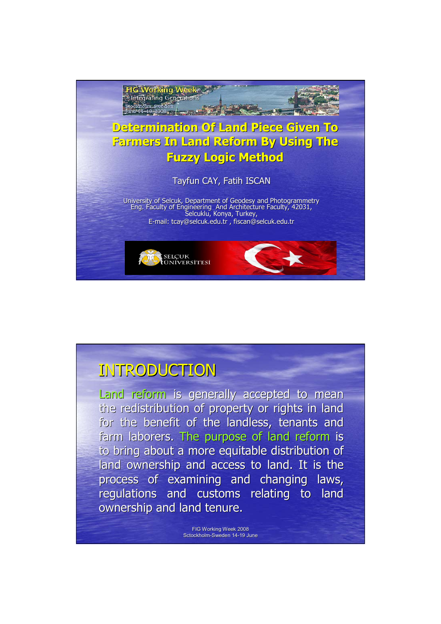

Land reform is generally accepted to mean the redistribution of property or rights in land for the benefit of the landless, tenants and farm laborers. The purpose of land reform is to bring about a more equitable distribution of land ownership and access to land. It is the process of examining and changing laws, regulations and customs relating to land ownership and land tenure.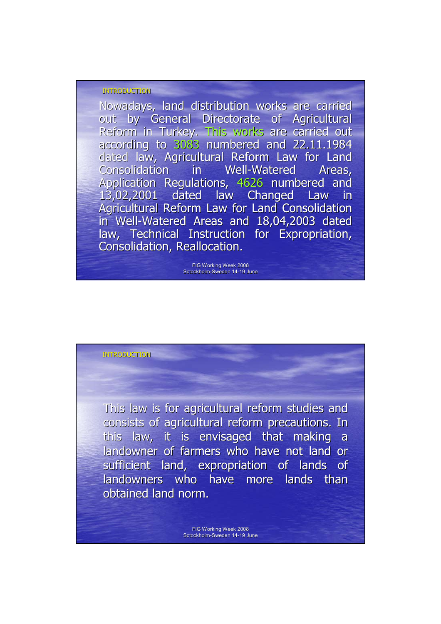Nowadays, land distribution works are carried out by General Directorate of Agricultural Reform in Turkey. This works are carried out according to 3083 numbered and 22.11.1984 dated law, Agricultural Reform Law for Land Consolidation in Well-Watered Areas, Application Regulations, 4626 numbered and 13,02,2001 dated law Changed Law in 13,02,2001 dated law Changed Law in Agricultural Reform Law for Land Consolidation in Well-Watered Areas and 18,04,2003 dated law, Technical Instruction for Expropriation, Consolidation, Reallocation.

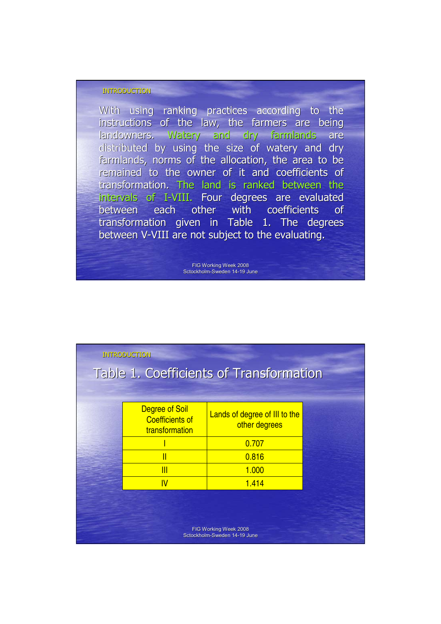With using ranking practices according to the instructions of the law, the farmers are being landowners. Watery and dry farmlands are distributed by using the size of watery and dry farmlands, norms of the allocation, the area to be remained to the owner of it and coefficients of transformation. The land is ranked between the intervals of I-VIII. Four degrees are evaluated between each other with coefficients of transformation given in Table 1. The degrees between V-VIII are not subject to the evaluating.

| Degree of Soil<br><b>Coefficients of</b><br>transformation | Lands of degree of III to the<br>other degrees |                                                                  |
|------------------------------------------------------------|------------------------------------------------|------------------------------------------------------------------|
|                                                            | 0.707                                          |                                                                  |
| Π                                                          | 0.816                                          |                                                                  |
| $\overline{\mathsf{III}}$                                  | 1.000                                          |                                                                  |
| IV                                                         | 1.414                                          |                                                                  |
|                                                            |                                                |                                                                  |
|                                                            | <b>INTRODUCTION</b>                            | Table 1. Coefficients of Transformation<br>FIG Working Week 2008 |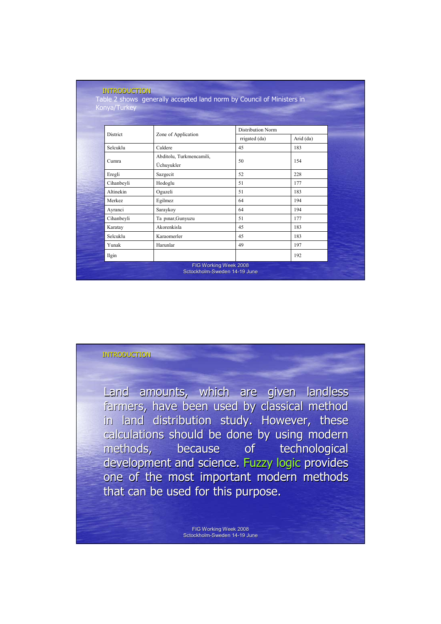| Konya/Turkey  |                          |                          |           |
|---------------|--------------------------|--------------------------|-----------|
|               |                          |                          |           |
| District      | Zone of Application      | <b>Distribution Norm</b> |           |
|               |                          | rrigated (da)            | Arid (da) |
| Selcuklu      | Caldere                  | 45                       | 183       |
| Cumra         | Abditolu, Turkmencamili, | 50                       | 154       |
|               | Üchuyukler               |                          |           |
| Eregli        | Sazgecit                 | 52                       | 228       |
| Cihanbeyli    | Hodoglu                  | 51                       | 177       |
| Altinekin     | Oguzeli                  | 51                       | 183       |
| <b>Merkez</b> | Egilmez                  | 64                       | 194       |
| Ayranci       | Saraykoy                 | 64                       | 194       |
| Cihanbeyli    | Ta pinar, Gunyuzu        | 51                       | 177       |
| Karatay       | Akorenkisla              | 45                       | 183       |
| Selcuklu      | Karaomerler              | 45                       | 183       |
| Yunak         | Harunlar                 | 49                       | 197       |
| Ilgin         |                          |                          | 192       |

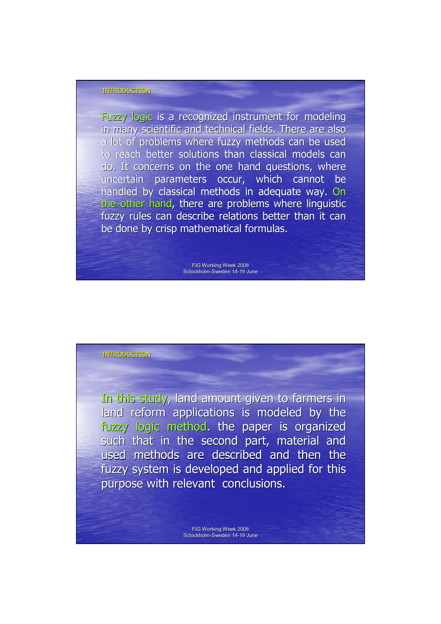Fuzzy logic is a recognized instrument for modeling in many scientific and technical fields. There are also a lot of problems where fuzzy methods can be used to reach better solutions than classical models can do. It concerns on the one hand questions, where uncertain parameters occur, which cannot be handled by classical methods in adequate way. On the other hand, there are problems where linguistic fuzzy rules can describe relations better than it can be done by crisp mathematical formulas.

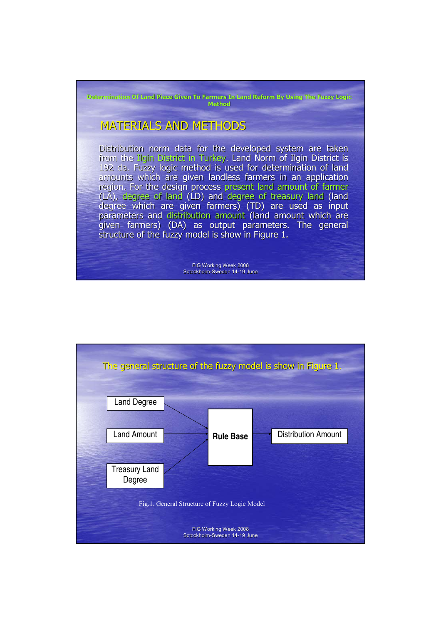FIG Working Week 2008 Sctockholm-Sweden 14-19 June **MATERIALS AND METHODS** Distribution norm data for the developed system are taken from the Ilgin District in Turkey. Land Norm of Ilgin District is 192 da. Fuzzy logic method is used for determination of land amounts which are given landless farmers in an application region. For the design process present land amount of farmer (LA), degree of land (LD) and degree of treasury land (land degree which are given farmers) (TD) are used as input parameters and distribution amount (land amount which are given farmers) (DA) as output parameters. The general structure of the fuzzy model is show in Figure 1. **Determination Of Land Piece Given To Farmers In Land Reform By Using The Fuzzy Logic Method**

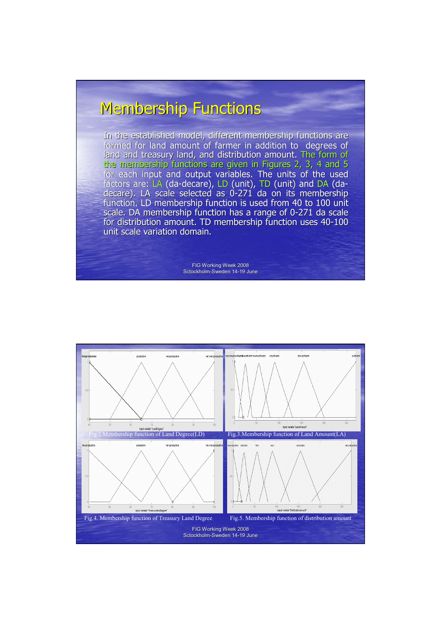# **Membership Functions**

In the established model, different membership functions are formed for land amount of farmer in addition to degrees of land and treasury land, and distribution amount. The form of the membership functions are given in Figures 2, 3, 4 and 5 for each input and output variables. The units of the used factors are: LA (da-decare), LD (unit), TD (unit) and DA (dadecare). LA scale selected as 0-271 da on its membership function. LD membership function is used from 40 to 100 unit scale. DA membership function has a range of 0-271 da scale for distribution amount. TD membership function uses 40-100 unit scale variation domain.

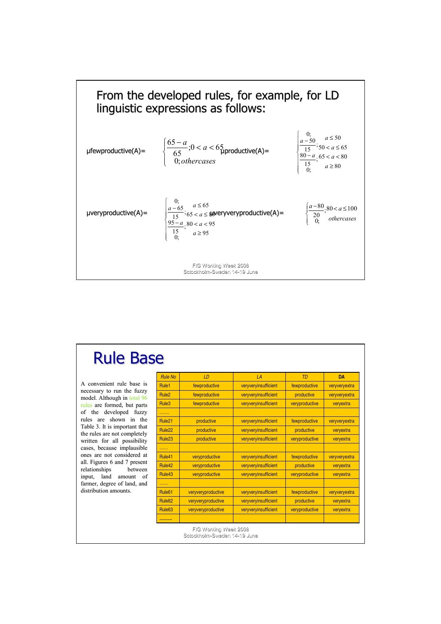

| <b>Rule Base</b>                                              |                    |                                                       |                      |                |               |
|---------------------------------------------------------------|--------------------|-------------------------------------------------------|----------------------|----------------|---------------|
|                                                               | <b>Rule No</b>     | LD                                                    | LA                   | <b>TD</b>      | <b>DA</b>     |
| A convenient rule base is                                     | Rule1              | fewproductive                                         | veryveryinsufficient | fewproductive  | veryveryextra |
| necessary to run the fuzzy<br>model. Although in total 96     | Rule <sub>2</sub>  | fewproductive                                         | veryveryinsufficient | productive     | veryveryextra |
| rules are formed, but parts                                   | Rule3              | fewproductive                                         | veryveryinsufficient | veryproductive | veryextra     |
| developed<br>the<br>fuzzy<br>of                               | .                  |                                                       |                      |                |               |
| are shown in the<br>rules                                     | Rule <sub>21</sub> | productive                                            | veryveryinsufficient | fewproductive  | veryveryextra |
| Table 3. It is important that<br>the rules are not completely | Rule <sub>22</sub> | productive                                            | veryveryinsufficient | productive     | veryextra     |
| written for all possibility                                   | Rule <sub>23</sub> | productive                                            | veryveryinsufficient | veryproductive | veryextra     |
| cases, because implausible                                    | .                  |                                                       |                      |                |               |
| ones are not considered at                                    | Rule41             | veryproductive                                        | veryveryinsufficient | fewproductive  | veryveryextra |
| all. Figures 6 and 7 present<br>relationships<br>between      | Rule42             | veryproductive                                        | veryveryinsufficient | productive     | veryextra     |
| of<br>land<br>input,<br>amount                                | Rule43             | veryproductive                                        | veryveryinsufficient | veryproductive | veryextra     |
| farmer, degree of land, and                                   | .                  |                                                       |                      |                |               |
| distribution amounts.                                         | Rule <sub>61</sub> | veryveryproductive                                    | veryveryinsufficient | fewproductive  | veryveryextra |
|                                                               | Rule <sub>62</sub> | veryveryproductive                                    | veryveryinsufficient | productive     | veryextra     |
|                                                               | Rule <sub>63</sub> | veryveryproductive                                    | veryveryinsufficient | veryproductive | veryextra     |
|                                                               |                    |                                                       |                      |                |               |
|                                                               |                    | FIG Working Week 2008<br>Sctockholm-Sweden 14-19 June |                      |                |               |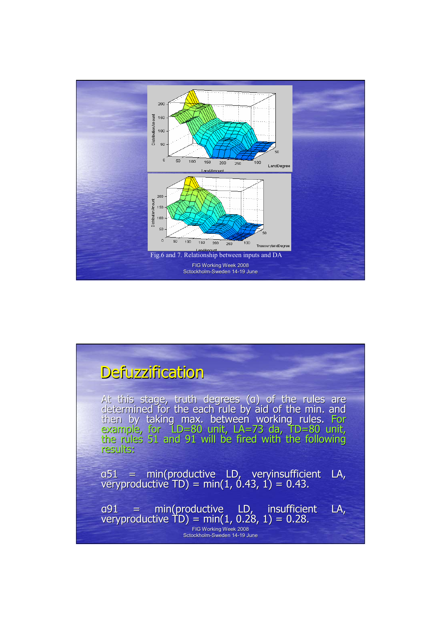

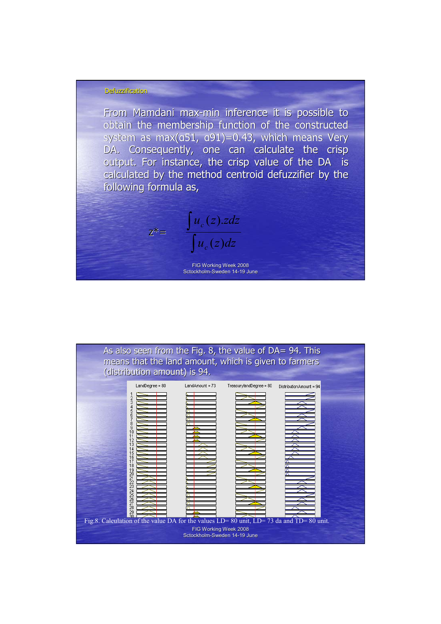#### **Defuzzification**

From Mamdani max-min inference it is possible to obtain the membership function of the constructed system as max( $a51$ ,  $a91$ )=0.43, which means Very DA. Consequently, one can calculate the crisp output. For instance, the crisp value of the DA is calculated by the method centroid defuzzifier by the following formula as,

> $z^* = \frac{z}{\sqrt{2}}$ ∫  $u_c(z)dz$  $u_c(z)$ *zdz c c*  $(z)$  $(z).$

FIG Working Week 2008 Sctockholm-Sweden 14-19 June

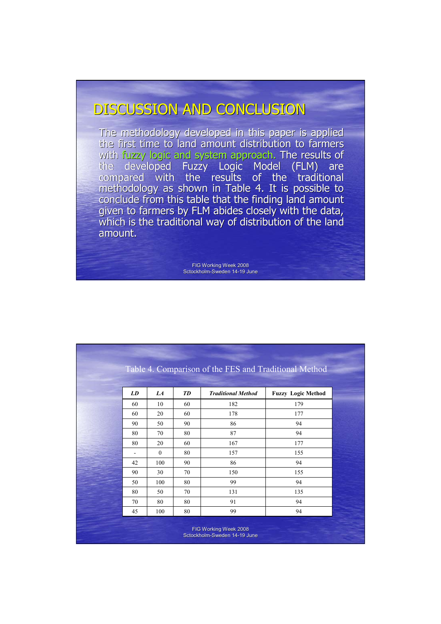## DISCUSSION AND CONCLUSION

The methodology developed in this paper is applied the first time to land amount distribution to farmers with fuzzy logic and system approach. The results of the developed Fuzzy Logic Model (FLM) are compared with the results of the traditional methodology as shown in Table 4. It is possible to conclude from this table that the finding land amount given to farmers by FLM abides closely with the data, which is the traditional way of distribution of the land amount.

|    |          |           | Table 4. Comparison of the FES and Traditional Method |                           |
|----|----------|-----------|-------------------------------------------------------|---------------------------|
|    |          |           |                                                       |                           |
| LD | LA       | <b>TD</b> | <b>Traditional Method</b>                             | <b>Fuzzy Logic Method</b> |
| 60 | 10       | 60        | 182                                                   | 179                       |
| 60 | 20       | 60        | 178                                                   | 177                       |
| 90 | 50       | 90        | 86                                                    | 94                        |
| 80 | 70       | 80        | 87                                                    | 94                        |
| 80 | 20       | 60        | 167                                                   | 177                       |
|    | $\theta$ | 80        | 157                                                   | 155                       |
| 42 | 100      | 90        | 86                                                    | 94                        |
| 90 | 30       | 70        | 150                                                   | 155                       |
| 50 | 100      | 80        | 99                                                    | 94                        |
| 80 | 50       | 70        | 131                                                   | 135                       |
| 70 | 80       | 80        | 91                                                    | 94                        |
| 45 | 100      | 80        | 99                                                    | 94                        |
|    |          |           |                                                       |                           |
|    |          |           | FIG Working Week 2008<br>Sctockholm-Sweden 14-19 June |                           |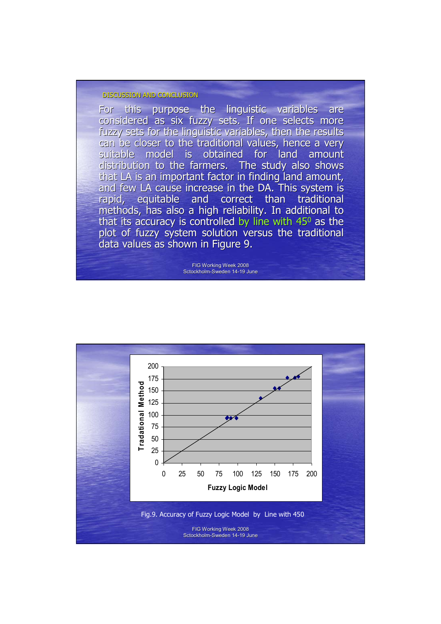#### DISCUSSION AND CONCLUSION

For this purpose the linguistic variables are considered as six fuzzy sets. If one selects more fuzzy sets for the linguistic variables, then the results can be closer to the traditional values, hence a very suitable model is obtained for land amount distribution to the farmers. The study also shows that LA is an important factor in finding land amount, and few LA cause increase in the DA. This system is rapid, equitable and correct than traditional methods, has also a high reliability. In additional to that its accuracy is controlled by line with  $45^{\circ}$  as the plot of fuzzy system solution versus the traditional data values as shown in Figure 9.